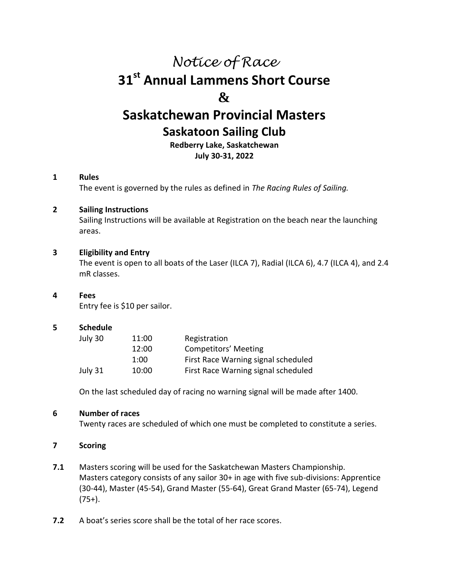# *Notice of Race* **31 st Annual Lammens Short Course & Saskatchewan Provincial Masters Saskatoon Sailing Club Redberry Lake, Saskatchewan**

**July 30-31, 2022**

## **1 Rules**

The event is governed by the rules as defined in *The Racing Rules of Sailing.*

#### **2 Sailing Instructions**

Sailing Instructions will be available at Registration on the beach near the launching areas.

#### **3 Eligibility and Entry**

The event is open to all boats of the Laser (ILCA 7), Radial (ILCA 6), 4.7 (ILCA 4), and 2.4 mR classes.

#### **4 Fees**

Entry fee is \$10 per sailor.

#### **5 Schedule**

| July 30 | 11:00 | Registration                        |
|---------|-------|-------------------------------------|
|         | 12:00 | Competitors' Meeting                |
|         | 1:00  | First Race Warning signal scheduled |
| July 31 | 10:00 | First Race Warning signal scheduled |

On the last scheduled day of racing no warning signal will be made after 1400.

## **6 Number of races**

Twenty races are scheduled of which one must be completed to constitute a series.

## **7 Scoring**

- **7.1** Masters scoring will be used for the Saskatchewan Masters Championship. Masters category consists of any sailor 30+ in age with five sub-divisions: Apprentice (30-44), Master (45-54), Grand Master (55-64), Great Grand Master (65-74), Legend  $(75+)$ .
- **7.2** A boat's series score shall be the total of her race scores.